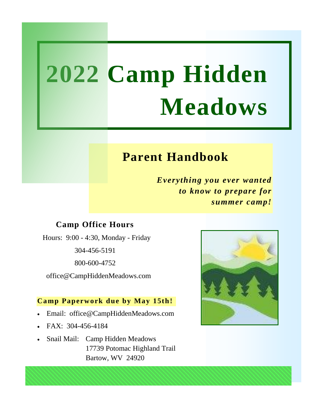### **Parent Handbook**

*Everything you ever wanted to know to prepare for summer camp!*

#### **Camp Office Hours**

Hours: 9:00 - 4:30, Monday - Friday

304-456-5191

800-600-4752

office@CampHiddenMeadows.com

#### **Camp Paperwork due by May 15th!**

- Email: office@CampHiddenMeadows.com
- FAX: 304-456-4184
- Snail Mail: Camp Hidden Meadows 17739 Potomac Highland Trail Bartow, WV 24920

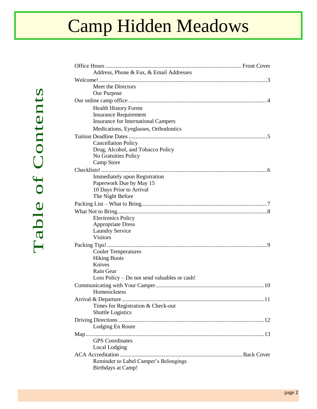| Address, Phone & Fax, & Email Addresses               |  |  |
|-------------------------------------------------------|--|--|
|                                                       |  |  |
| Meet the Directors                                    |  |  |
| Our Purpose                                           |  |  |
|                                                       |  |  |
| <b>Health History Forms</b>                           |  |  |
| <b>Insurance Requirement</b>                          |  |  |
| <b>Insurance for International Campers</b>            |  |  |
| Medications, Eyeglasses, Orthodontics                 |  |  |
|                                                       |  |  |
| <b>Cancellation Policy</b>                            |  |  |
| Drug, Alcohol, and Tobacco Policy                     |  |  |
| No Gratuities Policy                                  |  |  |
| Camp Store                                            |  |  |
|                                                       |  |  |
| Immediately upon Registration                         |  |  |
| Paperwork Due by May 15<br>10 Days Prior to Arrival   |  |  |
| The Night Before                                      |  |  |
|                                                       |  |  |
|                                                       |  |  |
|                                                       |  |  |
| <b>Electronics Policy</b><br><b>Appropriate Dress</b> |  |  |
| <b>Laundry Service</b>                                |  |  |
| <b>Visitors</b>                                       |  |  |
|                                                       |  |  |
| <b>Cooler Temperatures</b>                            |  |  |
| <b>Hiking Boots</b>                                   |  |  |
| Knives                                                |  |  |
| Rain Gear                                             |  |  |
| Loss Policy – Do not send valuables or cash!          |  |  |
|                                                       |  |  |
| Homesickness                                          |  |  |
|                                                       |  |  |
| Times for Registration & Check-out                    |  |  |
| <b>Shuttle Logistics</b>                              |  |  |
|                                                       |  |  |
| Lodging En Route                                      |  |  |
|                                                       |  |  |
| <b>GPS</b> Coordinates                                |  |  |
| Local Lodging                                         |  |  |
|                                                       |  |  |
| Reminder to Label Camper's Belongings                 |  |  |
| Birthdays at Camp!                                    |  |  |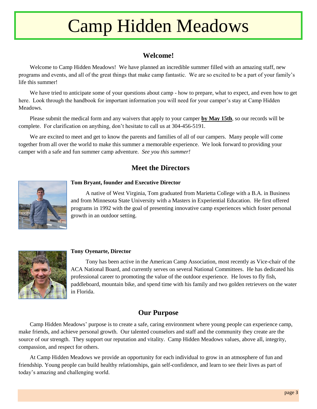#### **Welcome!**

Welcome to Camp Hidden Meadows! We have planned an incredible summer filled with an amazing staff, new programs and events, and all of the great things that make camp fantastic. We are so excited to be a part of your family's life this summer!

We have tried to anticipate some of your questions about camp - how to prepare, what to expect, and even how to get here. Look through the handbook for important information you will need for your camper's stay at Camp Hidden Meadows.

Please submit the medical form and any waivers that apply to your camper **by May 15th**, so our records will be complete. For clarification on anything, don't hesitate to call us at 304-456-5191.

We are excited to meet and get to know the parents and families of all of our campers. Many people will come together from all over the world to make this summer a memorable experience. We look forward to providing your camper with a safe and fun summer camp adventure. *See you this summer!*

#### **Meet the Directors**



#### **Tom Bryant, founder and Executive Director**

A native of West Virginia, Tom graduated from Marietta College with a B.A. in Business and from Minnesota State University with a Masters in Experiential Education. He first offered programs in 1992 with the goal of presenting innovative camp experiences which foster personal growth in an outdoor setting.



#### **Tony Oyenarte, Director**

Tony has been active in the American Camp Association, most recently as Vice-chair of the ACA National Board, and currently serves on several National Committees. He has dedicated his professional career to promoting the value of the outdoor experience. He loves to fly fish, paddleboard, mountain bike, and spend time with his family and two golden retrievers on the water in Florida.

#### **Our Purpose**

Camp Hidden Meadows' purpose is to create a safe, caring environment where young people can experience camp, make friends, and achieve personal growth. Our talented counselors and staff and the community they create are the source of our strength. They support our reputation and vitality. Camp Hidden Meadows values, above all, integrity, compassion, and respect for others.

At Camp Hidden Meadows we provide an opportunity for each individual to grow in an atmosphere of fun and friendship. Young people can build healthy relationships, gain self-confidence, and learn to see their lives as part of today's amazing and challenging world.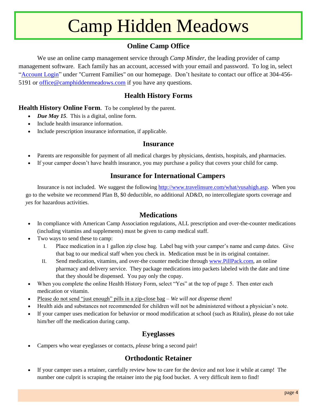#### **Online Camp Office**

We use an online camp management service through *Camp Minder,* the leading provider of camp management software. Each family has an account, accessed with your email and password. To log in, select ["Account Login"](https://hiddenmeadows.campintouch.com/v2/login/login.aspx?) under "Current Families" on our homepage. Don't hesitate to contact our office at 304-456- 5191 or [office@camphiddenmeadows.com](mailto:office@camphiddenmeadows.com) if you have any questions.

#### **Health History Forms**

**Health History Online Form**. To be completed by the parent.

- *Due May 15*. This is a digital, online form.
- Include health insurance information.
- Include prescription insurance information, if applicable.

#### **Insurance**

- Parents are responsible for payment of all medical charges by physicians, dentists, hospitals, and pharmacies.
- If your camper doesn't have health insurance, you may purchase a policy that covers your child for camp.

#### **Insurance for International Campers**

Insurance is not included. We suggest the following [http://www.travelinsure.com/what/vusahigh.asp.](http://www.travelinsure.com/what/vusahigh.asp) When you go to the website we recommend Plan B, \$0 deductible, *no* additional AD&D, *no* intercollegiate sports coverage and *yes* for hazardous activities.

#### **Medications**

- In compliance with American Camp Association regulations, ALL prescription and over-the-counter medications (including vitamins and supplements) must be given to camp medical staff.
- Two ways to send these to camp:
	- I. Place medication in a 1 gallon zip close bag. Label bag with your camper's name and camp dates. Give that bag to our medical staff when you check in. Medication must be in its original container.
	- II. Send medication, vitamins, and over-the counter medicine through [www.PillPack.com,](https://www.pillpack.com/) an online pharmacy and delivery service. They package medications into packets labeled with the date and time that they should be dispensed. You pay only the copay.
- When you complete the online Health History Form, select "Yes" at the top of page 5. Then enter each medication or vitamin.
- Please do not send "just enough" pills in a zip-close bag *We will not dispense them*!
- Health aids and substances not recommended for children will not be administered without a physician's note.
- If your camper uses medication for behavior or mood modification at school (such as Ritalin), please do not take him/her off the medication during camp.

#### **Eyeglasses**

Campers who wear eyeglasses or contacts, *please* bring a second pair!

#### **Orthodontic Retainer**

 If your camper uses a retainer, carefully review how to care for the device and not lose it while at camp! The number one culprit is scraping the retainer into the pig food bucket. A very difficult item to find!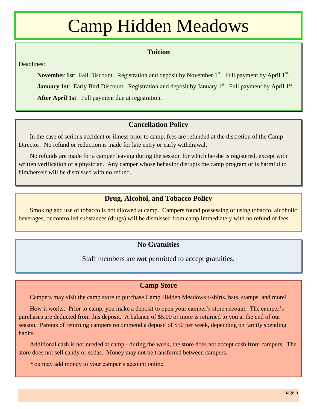#### **Tuition**

Deadlines:

November 1st: Fall Discount. Registration and deposit by November 1<sup>st</sup>. Full payment by April 1<sup>st</sup>. **January 1st**: Early Bird Discount. Registration and deposit by January 1<sup>st</sup>. Full payment by April 1<sup>st</sup>. **After April 1st**: Full payment due at registration.

#### **Cancellation Policy**

In the case of serious accident or illness prior to camp, fees are refunded at the discretion of the Camp Director. No refund or reduction is made for late entry or early withdrawal.

No refunds are made for a camper leaving during the session for which he/she is registered, except with written verification of a physician. Any camper whose behavior disrupts the camp program or is harmful to him/herself will be dismissed with no refund.

#### **Drug, Alcohol, and Tobacco Policy**

Smoking and use of tobacco is not allowed at camp. Campers found possessing or using tobacco, alcoholic beverages, or controlled substances (drugs) will be dismissed from camp immediately with no refund of fees.

#### **No Gratuities**

Staff members are *not* permitted to accept gratuities.

#### **Camp Store**

Campers may visit the camp store to purchase Camp Hidden Meadows t-shirts, hats, stamps, and more!

How it works: Prior to camp, you make a deposit to open your camper's store account. The camper's purchases are deducted from this deposit. A balance of \$5.00 or more is returned to you at the end of our season. Parents of returning campers recommend a deposit of \$50 per week, depending on family spending habits.

Additional cash is not needed at camp - during the week, the store does not accept cash from campers. The store does not sell candy or sodas. Money may not be transferred between campers.

You may add money to your camper's account online.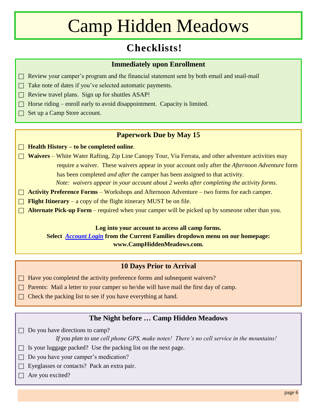### **Checklists!**

#### **Immediately upon Enrollment**

- $\Box$  Review your camper's program and the financial statement sent by both email and snail-mail
- $\Box$  Take note of dates if you've selected automatic payments.
- $\Box$  Review travel plans. Sign up for shuttles ASAP!
- $\Box$  Horse riding enroll early to avoid disappointment. Capacity is limited.
- $\Box$  Set up a Camp Store account.

#### **Paperwork Due by May 15**

- **Health History – to be completed online**.
- □ **Waivers** White Water Rafting, Zip Line Canopy Tour, Via Ferrata, and other adventure activities may require a waiver. These waivers appear in your account only after the *Afternoon Adventure* form has been completed *and after* the camper has been assigned to that activity. *Note: waivers appear in your account about 2 weeks after completing the activity forms*.
- **Activity Preference Forms** Workshops and Afternoon Adventure two forms for each camper.
- **Flight Itinerary** a copy of the flight itinerary MUST be on file.
- □ **Alternate Pick-up Form** required when your camper will be picked up by someone other than you.

#### **Log into your account to access all camp forms.**

**Select** *[Account Login](https://hiddenmeadows.campintouch.com/v2/login/login.aspx?)* **from the Current Families dropdown menu on our homepage: www.CampHiddenMeadows.com.**

#### **10 Days Prior to Arrival**

- □ Have you completed the activity preference forms and subsequent waivers?
- $\Box$  Parents: Mail a letter to your camper so he/she will have mail the first day of camp.
- $\Box$  Check the packing list to see if you have everything at hand.

#### **The Night before … Camp Hidden Meadows**

 $\Box$  Do you have directions to camp?

*If you plan to use cell phone GPS, make notes! There's no cell service in the mountains!*

- $\Box$  Is your luggage packed? Use the packing list on the next page.
- $\Box$  Do you have your camper's medication?
- Eyeglasses or contacts? Pack an extra pair.
- $\Box$  Are you excited?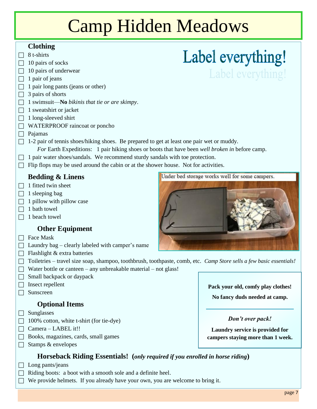#### **Clothing**

- $\Box$  8 t-shirts
- $\Box$  10 pairs of socks
- $\Box$  10 pairs of underwear

#### $\Box$  1 pair of jeans

- $\Box$  1 pair long pants (jeans or other)
- $\Box$  3 pairs of shorts
- 1 swimsuit—**No** *bikinis that tie or are skimpy*.
- $\Box$  1 sweatshirt or jacket
- $\Box$  1 long-sleeved shirt
- WATERPROOF raincoat or poncho
- $\Box$  Pajamas
- $\Box$  1-2 pair of tennis shoes/hiking shoes. Be prepared to get at least one pair wet or muddy. *For* Earth Expeditions: 1 pair hiking shoes or boots that have been *well broken in* before camp.
- $\Box$  1 pair water shoes/sandals. We recommend sturdy sandals with toe protection.
- $\Box$  Flip flops may be used around the cabin or at the shower house. Not for activities.

#### **Bedding & Linens**

- $\Box$  1 fitted twin sheet
- $\Box$  1 sleeping bag
- $\Box$  1 pillow with pillow case
- $\Box$  1 bath towel
- $\Box$  1 beach towel

#### **Other Equipment**

- $\Box$  Face Mask
- $\Box$  Laundry bag clearly labeled with camper's name
- $\Box$  Flashlight & extra batteries
- Toiletries travel size soap, shampoo, toothbrush, toothpaste, comb, etc. *Camp Store sells a few basic essentials!*
- $\Box$  Water bottle or canteen any unbreakable material not glass!
- $\Box$  Small backpack or daypack
- $\Box$  Insect repellent
- Sunscreen

#### **Optional Items**

- $\Box$  Sunglasses
- $\Box$  100% cotton, white t-shirt (for tie-dye)
- $\Box$  Camera LABEL it!!
- Books, magazines, cards, small games
- $\Box$  Stamps & envelopes

**Pack your old, comfy play clothes!**

**No fancy duds needed at camp.**

#### *Don't over pack!*

**Laundry service is provided for campers staying more than 1 week.**

#### **Horseback Riding Essentials! (***only required if you enrolled in horse riding***)**

- $\Box$  Long pants/jeans
- $\Box$  Riding boots: a boot with a smooth sole and a definite heel.
	- We provide helmets. If you already have your own, you are welcome to bring it.



Label everything!

Label everything!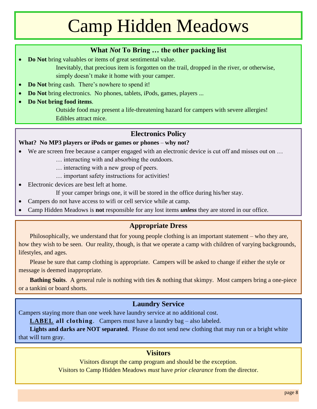#### **What** *Not* **To Bring … the other packing list**

- **Do Not** bring valuables or items of great sentimental value.
	- Inevitably, that precious item is forgotten on the trail, dropped in the river, or otherwise, simply doesn't make it home with your camper.
- **Do Not** bring cash. There's nowhere to spend it!
- **Do Not** bring electronics. No phones, tablets, iPods, games, players ...
- **Do Not bring food items**.

Outside food may present a life-threatening hazard for campers with severe allergies! Edibles attract mice.

#### **Electronics Policy**

#### **What? No MP3 players or iPods or games or phones** – **why not?**

- We are screen free because a camper engaged with an electronic device is cut off and misses out on ...
	- … interacting with and absorbing the outdoors.
	- … interacting with a new group of peers.
	- … important safety instructions for activities!
- Electronic devices are best left at home.
	- If your camper brings one, it will be stored in the office during his/her stay.
- Campers do not have access to wifi or cell service while at camp.
- Camp Hidden Meadows is **not** responsible for any lost items *unless* they are stored in our office.

#### **Appropriate Dress**

Philosophically, we understand that for young people clothing is an important statement – who they are, how they wish to be seen. Our reality, though, is that we operate a camp with children of varying backgrounds, lifestyles, and ages.

Please be sure that camp clothing is appropriate. Campers will be asked to change if either the style or message is deemed inappropriate.

**Bathing Suits**. A general rule is nothing with ties & nothing that skimpy. Most campers bring a one-piece or a tankini or board shorts.

#### **Laundry Service**

Campers staying more than one week have laundry service at no additional cost.

**LABEL all clothing**. Campers must have a laundry bag – also labeled.

**Lights and darks are NOT separated**. Please do not send new clothing that may run or a bright white that will turn gray.

#### **Visitors**

Visitors disrupt the camp program and should be the exception.

Visitors to Camp Hidden Meadows *must* have *prior clearance* from the director.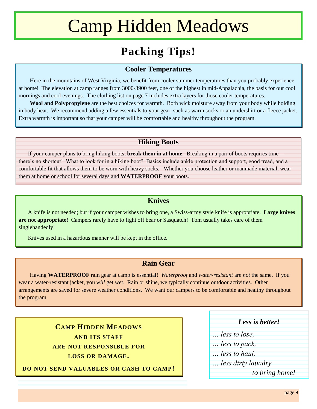### **Packing Tips!**

#### **Cooler Temperatures**

Here in the mountains of West Virginia, we benefit from cooler summer temperatures than you probably experience at home! The elevation at camp ranges from 3000-3900 feet, one of the highest in mid-Appalachia, the basis for our cool mornings and cool evenings. The clothing list on page 7 includes extra layers for those cooler temperatures.

**Wool and Polypropylene** are the best choices for warmth. Both wick moisture away from your body while holding in body heat. We recommend adding a few essentials to your gear, such as warm socks or an undershirt or a fleece jacket. Extra warmth is important so that your camper will be comfortable and healthy throughout the program.

#### **Hiking Boots**

If your camper plans to bring hiking boots, **break them in at home**. Breaking in a pair of boots requires time there's no shortcut! What to look for in a hiking boot? Basics include ankle protection and support, good tread, and a comfortable fit that allows them to be worn with heavy socks. Whether you choose leather or manmade material, wear them at home or school for several days and **WATERPROOF** your boots.

#### **Knives**

A knife is not needed; but if your camper wishes to bring one, a Swiss-army style knife is appropriate. **Large knives are not appropriate!** Campers rarely have to fight off bear or Sasquatch! Tom usually takes care of them singlehandedly!

Knives used in a hazardous manner will be kept in the office.

#### **Rain Gear**

Having **WATERPROOF** rain gear at camp is essential! *Waterproof* and *water-resistant* are *not* the same. If you wear a water-resistant jacket, you *will* get wet. Rain or shine, we typically continue outdoor activities. Other arrangements are saved for severe weather conditions. We want our campers to be comfortable and healthy throughout the program.

> **CAMP HIDDEN MEADOWS AND ITS STAFF ARE NOT RESPONSIBLE FOR LOSS OR DAMAGE.**

**DO NOT SEND VALUABLES OR CASH TO CAMP!**

#### *Less is better!*

- *… less to lose,*
- *… less to pack,*
- *… less to haul,*
- *… less dirty laundry*

 *to bring home!*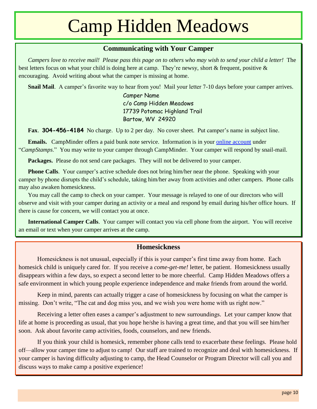#### **Communicating with Your Camper**

*Campers love to receive mail! Please pass this page on to others who may wish to send your child a letter!* The best letters focus on what your child is doing here at camp. They're newsy, short & frequent, positive & encouraging. Avoid writing about what the camper is missing at home.

**Snail Mail.** A camper's favorite way to hear from you! Mail your letter 7-10 days before your camper arrives.

Camper Name c/o Camp Hidden Meadows 17739 Potomac Highland Trail Bartow, WV 24920

**Fax**. **304-456-4184** No charge. Up to 2 per day. No cover sheet. Put camper's name in subject line.

**Emails.** CampMinder offers a paid bunk note service. Information is in your [online account](https://hiddenmeadows.campintouch.com/v2/login/login.aspx?) under "*CampStamps*." You may write to your camper through CampMinder. Your camper will respond by snail-mail.

**Packages.** Please do not send care packages. They will not be delivered to your camper.

**Phone Calls**. Your camper's active schedule does not bring him/her near the phone. Speaking with your camper by phone disrupts the child's schedule, taking him/her away from activities and other campers. Phone calls may also awaken homesickness.

You may call the camp to check on your camper. Your message is relayed to one of our directors who will observe and visit with your camper during an activity or a meal and respond by email during his/her office hours. If there is cause for concern, we will contact you at once.

**International Camper Calls**. Your camper will contact you via cell phone from the airport. You will receive an email or text when your camper arrives at the camp.

#### **Homesickness**

Homesickness is not unusual, especially if this is your camper's first time away from home. Each homesick child is uniquely cared for. If you receive a *come-get-me!* letter, be patient. Homesickness usually disappears within a few days, so expect a second letter to be more cheerful. Camp Hidden Meadows offers a safe environment in which young people experience independence and make friends from around the world.

Keep in mind, parents can actually trigger a case of homesickness by focusing on what the camper is missing. Don't write, "The cat and dog miss you, and we wish you were home with us right now."

Receiving a letter often eases a camper's adjustment to new surroundings. Let your camper know that life at home is proceeding as usual, that you hope he/she is having a great time, and that you will see him/her soon. Ask about favorite camp activities, foods, counselors, and new friends.

If you think your child is homesick, remember phone calls tend to exacerbate these feelings. Please hold off—allow your camper time to adjust to camp! Our staff are trained to recognize and deal with homesickness. If your camper is having difficulty adjusting to camp, the Head Counselor or Program Director will call you and discuss ways to make camp a positive experience!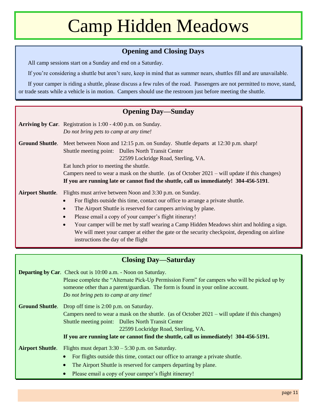#### **Opening and Closing Days**

All camp sessions start on a Sunday and end on a Saturday.

If you're considering a shuttle but aren't sure, keep in mind that as summer nears, shuttles fill and are unavailable.

If your camper is riding a shuttle, please discuss a few rules of the road. Passengers are not permitted to move, stand, or trade seats while a vehicle is in motion. Campers should use the restroom just before meeting the shuttle.

#### **Opening Day—Sunday**

|                         | Arriving by Car. Registration is 1:00 - 4:00 p.m. on Sunday.<br>Do not bring pets to camp at any time!  |
|-------------------------|---------------------------------------------------------------------------------------------------------|
|                         |                                                                                                         |
|                         | <b>Ground Shuttle.</b> Meet between Noon and 12:15 p.m. on Sunday. Shuttle departs at 12:30 p.m. sharp! |
|                         | Shuttle meeting point: Dulles North Transit Center                                                      |
|                         | 22599 Lockridge Road, Sterling, VA.                                                                     |
|                         | Eat lunch prior to meeting the shuttle.                                                                 |
|                         | Campers need to wear a mask on the shuttle. (as of October 2021 – will update if this changes)          |
|                         | If you are running late or cannot find the shuttle, call us immediately! 304-456-5191.                  |
| <b>Airport Shuttle.</b> | Flights must arrive between Noon and 3:30 p.m. on Sunday.                                               |
|                         | For flights outside this time, contact our office to arrange a private shuttle.                         |
|                         | The Airport Shuttle is reserved for campers arriving by plane.                                          |
|                         | Please email a copy of your camper's flight itinerary!                                                  |
|                         | Your camper will be met by staff wearing a Camp Hidden Meadows shirt and holding a sign.<br>$\bullet$   |
|                         | We will meet your camper at either the gate or the security checkpoint, depending on airline            |

**Closing Day—Saturday**

instructions the day of the flight

|                         | <b>Departing by Car.</b> Check out is 10:00 a.m. - Noon on Saturday.<br>Please complete the "Alternate Pick-Up Permission Form" for campers who will be picked up by<br>someone other than a parent/guardian. The form is found in your online account.<br>Do not bring pets to camp at any time! |
|-------------------------|---------------------------------------------------------------------------------------------------------------------------------------------------------------------------------------------------------------------------------------------------------------------------------------------------|
|                         | <b>Ground Shuttle.</b> Drop off time is 2:00 p.m. on Saturday.                                                                                                                                                                                                                                    |
|                         | Campers need to wear a mask on the shuttle. (as of October 2021 – will update if this changes)                                                                                                                                                                                                    |
|                         | Shuttle meeting point: Dulles North Transit Center                                                                                                                                                                                                                                                |
|                         | 22599 Lockridge Road, Sterling, VA.                                                                                                                                                                                                                                                               |
|                         | If you are running late or cannot find the shuttle, call us immediately! 304-456-5191.                                                                                                                                                                                                            |
| <b>Airport Shuttle.</b> | Flights must depart $3:30 - 5:30$ p.m. on Saturday.                                                                                                                                                                                                                                               |
|                         | For flights outside this time, contact our office to arrange a private shuttle.                                                                                                                                                                                                                   |
|                         | The Airport Shuttle is reserved for campers departing by plane.                                                                                                                                                                                                                                   |
|                         | Please email a copy of your camper's flight itinerary!<br>$\bullet$                                                                                                                                                                                                                               |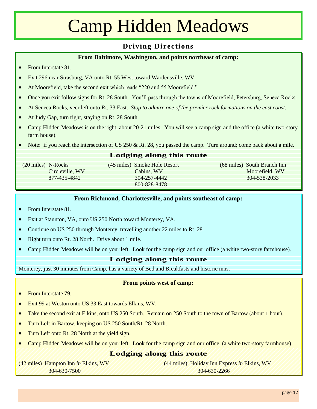#### **Driving Directions**

#### **From Baltimore, Washington, and points northeast of camp:**

- From Interstate 81.
- Exit 296 near Strasburg, VA onto Rt. 55 West toward Wardensville, WV.
- At Moorefield, take the second exit which reads "220 and 55 Moorefield."
- Once you exit follow signs for Rt. 28 South. You'll pass through the towns of Moorefield, Petersburg, Seneca Rocks.
- At Seneca Rocks, veer left onto Rt. 33 East. *Stop to admire one of the premier rock formations on the east coast.*
- At Judy Gap, turn right, staying on Rt. 28 South.
- Camp Hidden Meadows is on the right, about 20-21 miles. You will see a camp sign and the office (a white two-story farm house).
- $\bullet$  Note: if you reach the intersection of US 250 & Rt. 28, you passed the camp. Turn around; come back about a mile.

#### **Lodging along this route**

800-828-8478

(20 miles) N-Rocks (45 miles) Smoke Hole Resort (68 miles) South Branch Inn Circleville, WV Cabins, WV Moorefield, WV 877-435-4842 304-257-4442 304-538-2033

#### **From Richmond, Charlottesville, and points southeast of camp:**

- From Interstate 81
- Exit at Staunton, VA, onto US 250 North toward Monterey, VA.
- Continue on US 250 through Monterey, travelling another 22 miles to Rt. 28.
- Right turn onto Rt. 28 North. Drive about 1 mile.
- Camp Hidden Meadows will be on your left. Look for the camp sign and our office (a white two-story farmhouse).

#### **Lodging along this route**

Monterey, just 30 minutes from Camp, has a variety of Bed and Breakfasts and historic inns.

#### **From points west of camp:**

- From Interstate 79.
- Exit 99 at Weston onto US 33 East towards Elkins, WV.
- Take the second exit at Elkins, onto US 250 South. Remain on 250 South to the town of Bartow (about 1 hour).
- Turn Left in Bartow, keeping on US 250 South/Rt. 28 North.
- Turn Left onto Rt. 28 North at the yield sign.
- Camp Hidden Meadows will be on your left. Look for the camp sign and our office, (a white two-story farmhouse).

#### **Lodging along this route**

(42 miles) Hampton Inn *in* Elkins, WV (44 miles) Holiday Inn Express *in* Elkins, WV 304-630-7500 304-630-2266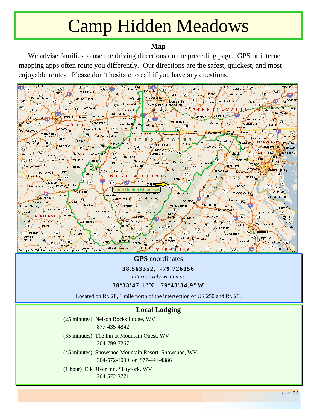#### **Map**

We advise families to use the driving directions on the preceding page. GPS or internet mapping apps often route you differently. Our directions are the safest, quickest, and most enjoyable routes. Please don't hesitate to call if you have any questions.



#### **GPS** coordinates

**38.563352, -79.726056**

*alternatively written as*

#### **38º33'47.1"N, 79º43'34.9"W**

Located on Rt. 28, 1 mile north of the intersection of US 250 and Rt. 28.

#### **Local Lodging**

- (25 minutes) Nelson Rocks Lodge, WV 877-435-4842
- (35 minutes) The Inn at Mountain Quest, WV 304-799-7267
- (45 minutes) Snowshoe Mountain Resort, Snowshoe, WV 304-572-1000 or 877-441-4386
- (1 hour) Elk River Inn, Slatyfork, WV 304-572-3771